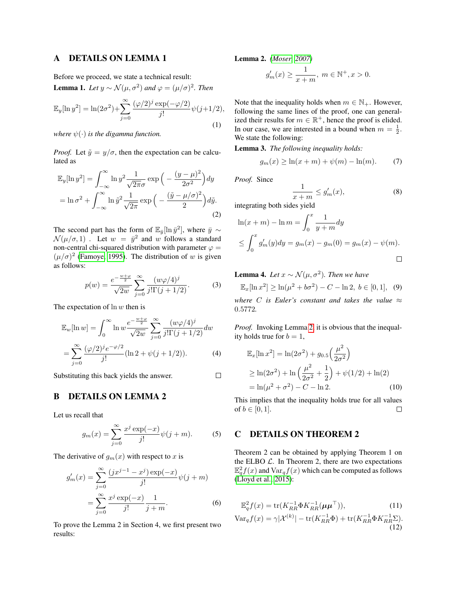### A DETAILS ON LEMMA 1

Before we proceed, we state a technical result:

**Lemma 1.** Let  $y \sim \mathcal{N}(\mu, \sigma^2)$  and  $\varphi = (\mu/\sigma)^2$ . Then

$$
\mathbb{E}_y[\ln y^2] = \ln(2\sigma^2) + \sum_{j=0}^{\infty} \frac{(\varphi/2)^j \exp(-\varphi/2)}{j!} \psi(j+1/2),
$$
\n(1)

*where*  $\psi(\cdot)$  *is the digamma function.* 

*Proof.* Let  $\tilde{y} = y/\sigma$ , then the expectation can be calculated as

$$
\mathbb{E}_y[\ln y^2] = \int_{-\infty}^{\infty} \ln y^2 \frac{1}{\sqrt{2\pi}\sigma} \exp\left(-\frac{(y-\mu)^2}{2\sigma^2}\right) dy
$$

$$
= \ln \sigma^2 + \int_{-\infty}^{\infty} \ln \tilde{y}^2 \frac{1}{\sqrt{2\pi}} \exp\left(-\frac{(\tilde{y} - \mu/\sigma)^2}{2}\right) d\tilde{y}.
$$
(2)

The second part has the form of  $\mathbb{E}_{\bar{y}}[\ln \bar{y}^2]$ , where  $\bar{y} \sim$  $\mathcal{N}(\mu/\sigma, 1)$ . Let  $w = \bar{y}^2$  and w follows a standard non-central chi-squared distribution with parameter  $\varphi =$  $(\mu/\sigma)^2$  [\(Famoye, 1995\)](#page-4-0). The distribution of w is given as follows:

$$
p(w) = \frac{e^{-\frac{w+\varphi}{2}}}{\sqrt{2w}} \sum_{j=0}^{\infty} \frac{(w\varphi/4)^j}{j!\Gamma(j+1/2)}.
$$
 (3)

The expectation of  $\ln w$  then is

$$
\mathbb{E}_w[\ln w] = \int_0^\infty \ln w \frac{e^{-\frac{w+\varphi}{2}}}{\sqrt{2w}} \sum_{j=0}^\infty \frac{(w\varphi/4)^j}{j!\Gamma(j+1/2)} dw
$$
  
= 
$$
\sum_{j=0}^\infty \frac{(\varphi/2)^j e^{-\varphi/2}}{j!} (\ln 2 + \psi(j+1/2)).
$$
 (4)

Substituting this back yields the answer.

### B DETAILS ON LEMMA 2

Let us recall that

$$
g_m(x) = \sum_{j=0}^{\infty} \frac{x^j \exp(-x)}{j!} \psi(j+m).
$$
 (5)

The derivative of  $g_m(x)$  with respect to x is

$$
g'_m(x) = \sum_{j=0}^{\infty} \frac{(jx^{j-1} - x^j) \exp(-x)}{j!} \psi(j+m)
$$

$$
= \sum_{j=0}^{\infty} \frac{x^j \exp(-x)}{j!} \frac{1}{j+m}.
$$
 (6)

<span id="page-0-0"></span>To prove the Lemma 2 in Section 4, we first present two results:

Lemma 2. *[\(Moser, 2007\)](#page-4-1)*

$$
g'_m(x) \ge \frac{1}{x+m}, \ m \in \mathbb{N}^+, x > 0.
$$

Note that the inequality holds when  $m \in \mathbb{N}_+$ . However, following the same lines of the proof, one can generalized their results for  $m \in \mathbb{R}^+$ , hence the proof is elided. In our case, we are interested in a bound when  $m = \frac{1}{2}$ . We state the following:

Lemma 3. *The following inequality holds:*

$$
g_m(x) \ge \ln(x + m) + \psi(m) - \ln(m). \tag{7}
$$

*Proof.* Since

 $\Box$ 

$$
\frac{1}{x+m} \le g'_m(x),\tag{8}
$$

integrating both sides yield

$$
\ln(x + m) - \ln m = \int_0^x \frac{1}{y + m} dy
$$
  
\n
$$
\leq \int_0^x g'_m(y) dy = g_m(x) - g_m(0) = g_m(x) - \psi(m).
$$

**Lemma 4.** Let  $x \sim \mathcal{N}(\mu, \sigma^2)$ . Then we have  $\mathbb{E}_x[\ln x^2] \ge \ln(\mu^2 + b\sigma^2) - C - \ln 2, \ b \in [0, 1], \ (9)$ *where C* is Euler's constant and takes the value  $\approx$ 0.5772*.*

*Proof.* Invoking Lemma [2,](#page-0-0) it is obvious that the inequality holds true for  $b = 1$ ,

$$
\mathbb{E}_x[\ln x^2] = \ln(2\sigma^2) + g_{0.5}\left(\frac{\mu^2}{2\sigma^2}\right)
$$
  
\n
$$
\geq \ln(2\sigma^2) + \ln\left(\frac{\mu^2}{2\sigma^2} + \frac{1}{2}\right) + \psi(1/2) + \ln(2)
$$
  
\n
$$
= \ln(\mu^2 + \sigma^2) - C - \ln 2.
$$
 (10)

This implies that the inequality holds true for all values of  $b \in [0, 1]$ .  $\Box$ 

## C DETAILS ON THEOREM 2

Theorem 2 can be obtained by applying Theorem 1 on the ELBO  $\mathcal{L}$ . In Theorem 2, there are two expectations  $\mathbb{E}_q^2 f(x)$  and  $\text{Var}_q f(x)$  which can be computed as follows [\(Lloyd et al., 2015\)](#page-4-2):

$$
\mathbb{E}_q^2 f(x) = \text{tr}(K_{RR}^{-1} \Phi K_{RR}^{-1} (\boldsymbol{\mu} \boldsymbol{\mu}^\top)), \tag{11}
$$

$$
\text{Var}_q f(x) = \gamma |\mathcal{X}^{(k)}| - \text{tr}(K_{RR}^{-1} \Phi) + \text{tr}(K_{RR}^{-1} \Phi K_{RR}^{-1} \Sigma). \tag{12}
$$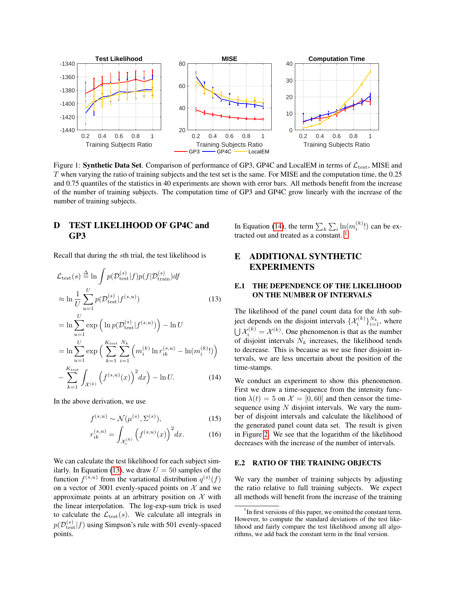<span id="page-1-3"></span>

Figure 1: Synthetic Data Set. Comparison of performance of GP3, GP4C and LocalEM in terms of  $\mathcal{L}_{\text{test}}$ , MISE and T when varying the ratio of training subjects and the test set is the same. For MISE and the computation time, the 0.25 and 0.75 quantiles of the statistics in 40 experiments are shown with error bars. All methods benefit from the increase of the number of training subjects. The computation time of GP3 and GP4C grow linearly with the increase of the number of training subjects.

## D TEST LIKELIHOOD OF GP4C and GP3

Recall that during the sth trial, the test likelihood is

$$
\mathcal{L}_{\text{test}}(s) \stackrel{\Delta}{=} \ln \int p(\mathcal{D}_{\text{test}}^{(s)} | f) p(f | \mathcal{D}_{\text{train}}^{(s)}) df
$$

$$
\approx \ln \frac{1}{U} \sum_{u=1}^{U} p(\mathcal{D}_{\text{test}}^{(s)} | f^{(s,u)})
$$
(13)

$$
= \ln \sum_{u=1}^U \exp \left( \ln p(\mathcal{D}_{\text{test}}^{(s)} | f^{(s,u)}) \right) - \ln U
$$
  
\n
$$
= \ln \sum_{u=1}^U \exp \left( \sum_{k=1}^{K_{\text{test}}} \sum_{i=1}^{N_k} \left( m_i^{(k)} \ln r_{ik}^{(s,u)} - \ln(m_i^{(k)}!) \right) \right)
$$
  
\n
$$
= \sum_{k=1}^{K_{\text{test}}} \int \left( f^{(s,u)}(x) \right)^2 dx \right) - \ln U. \tag{14}
$$

$$
-\sum_{k=1}^{\infty}\int_{\mathcal{X}^{(k)}}\left(f^{(s,u)}(x)\right)^2dx\Big)-\ln U.\tag{14}
$$

In the above derivation, we use

$$
f^{(s,u)} \sim \mathcal{N}(\mu^{(s)}, \Sigma^{(s)}),\tag{15}
$$

$$
r_{ik}^{(s,u)} = \int_{\mathcal{X}_i^{(k)}} \left( f^{(s,u)}(x) \right)^2 dx. \tag{16}
$$

We can calculate the test likelihood for each subject sim-ilarly. In Equation [\(13\)](#page-1-0), we draw  $U = 50$  samples of the function  $f^{(s,u)}$  from the variational distribution  $q^{(s)}(f)$ on a vector of 3001 evenly-spaced points on  $X$  and we approximate points at an arbitrary position on  $X$  with the linear interpolation. The log-exp-sum trick is used to calculate the  $\mathcal{L}_{\text{test}}(s)$ . We calculate all integrals in  $p(\mathcal{D}^{(s)}_{\text{test}}|f)$  using Simpson's rule with 501 evenly-spaced points.

In Equation [\(14\)](#page-1-1), the term  $\sum_k \sum_i \ln(m_i^{(k)}!)$  can be extracted out and treated as a constant.  $\frac{1}{1}$  $\frac{1}{1}$  $\frac{1}{1}$ 

# E ADDITIONAL SYNTHETIC EXPERIMENTS

### <span id="page-1-0"></span>E.1 THE DEPENDENCE OF THE LIKELIHOOD ON THE NUMBER OF INTERVALS

The likelihood of the panel count data for the  $k$ th subject depends on the disjoint intervals  $\{\mathcal{X}_i^{(k)}\}_{i=1}^{N_k}$ , where  $\bigcup \mathcal{X}_i^{(k)} = \mathcal{X}^{(k)}$ . One phenomenon is that as the number of disjoint intervals  $N_k$  increases, the likelihood tends to decrease. This is because as we use finer disjoint intervals, we are less uncertain about the position of the time-stamps.

<span id="page-1-1"></span>We conduct an experiment to show this phenomenon. First we draw a time-sequence from the intensity function  $\lambda(t) = 5$  on  $\mathcal{X} = [0, 60]$  and then censor the timesequence using  $N$  disjoint intervals. We vary the number of disjoint intervals and calculate the likelihood of the generated panel count data set. The result is given in Figure [2.](#page-2-0) We see that the logarithm of the likelihood decreases with the increase of the number of intervals.

### E.2 RATIO OF THE TRAINING OBJECTS

We vary the number of training subjects by adjusting the ratio relative to full training subjects. We expect all methods will benefit from the increase of the training

<span id="page-1-2"></span><sup>&</sup>lt;sup>1</sup>In first versions of this paper, we omitted the constant term. However, to compute the standard deviations of the test likelihood and fairly compare the test likelihood among all algorithms, we add back the constant term in the final version.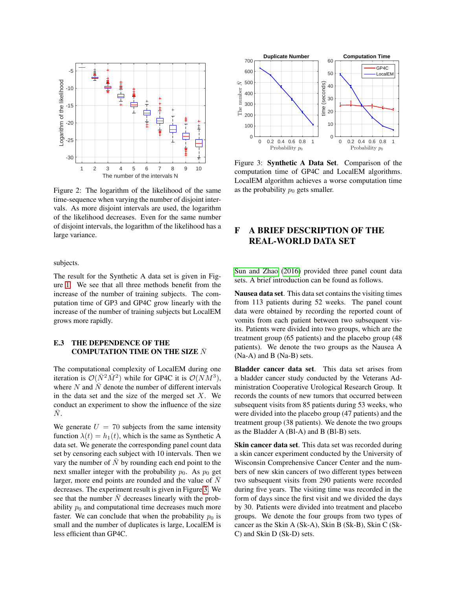<span id="page-2-0"></span>

Figure 2: The logarithm of the likelihood of the same time-sequence when varying the number of disjoint intervals. As more disjoint intervals are used, the logarithm of the likelihood decreases. Even for the same number of disjoint intervals, the logarithm of the likelihood has a large variance.

subjects.

The result for the Synthetic A data set is given in Figure [1.](#page-1-3) We see that all three methods benefit from the increase of the number of training subjects. The computation time of GP3 and GP4C grow linearly with the increase of the number of training subjects but LocalEM grows more rapidly.

### E.3 THE DEPENDENCE OF THE COMPUTATION TIME ON THE SIZE  $\bar{N}$

The computational complexity of LocalEM during one iteration is  $\mathcal{O}(\bar{N}^2 \bar{M}^2)$  while for GP4C it is  $\mathcal{O}(NM^3)$ , where N and  $\overline{N}$  denote the number of different intervals in the data set and the size of the merged set  $X$ . We conduct an experiment to show the influence of the size  $\bar{N}$ .

We generate  $U = 70$  subjects from the same intensity function  $\lambda(t) = h_1(t)$ , which is the same as Synthetic A data set. We generate the corresponding panel count data set by censoring each subject with 10 intervals. Then we vary the number of  $\bar{N}$  by rounding each end point to the next smaller integer with the probability  $p_0$ . As  $p_0$  get larger, more end points are rounded and the value of  $\overline{N}$ decreases. The experiment result is given in Figure [3.](#page-2-1) We see that the number  $\overline{N}$  decreases linearly with the probability  $p_0$  and computational time decreases much more faster. We can conclude that when the probability  $p_0$  is small and the number of duplicates is large, LocalEM is less efficient than GP4C.

<span id="page-2-1"></span>

Figure 3: Synthetic A Data Set. Comparison of the computation time of GP4C and LocalEM algorithms. LocalEM algorithm achieves a worse computation time as the probability  $p_0$  gets smaller.

# F A BRIEF DESCRIPTION OF THE REAL-WORLD DATA SET

[Sun and Zhao](#page-4-3) [\(2016\)](#page-4-3) provided three panel count data sets. A brief introduction can be found as follows.

Nausea data set. This data set contains the visiting times from 113 patients during 52 weeks. The panel count data were obtained by recording the reported count of vomits from each patient between two subsequent visits. Patients were divided into two groups, which are the treatment group (65 patients) and the placebo group (48 patients). We denote the two groups as the Nausea A (Na-A) and B (Na-B) sets.

Bladder cancer data set. This data set arises from a bladder cancer study conducted by the Veterans Administration Cooperative Urological Research Group. It records the counts of new tumors that occurred between subsequent visits from 85 patients during 53 weeks, who were divided into the placebo group (47 patients) and the treatment group (38 patients). We denote the two groups as the Bladder A (Bl-A) and B (Bl-B) sets.

Skin cancer data set. This data set was recorded during a skin cancer experiment conducted by the University of Wisconsin Comprehensive Cancer Center and the numbers of new skin cancers of two different types between two subsequent visits from 290 patients were recorded during five years. The visiting time was recorded in the form of days since the first visit and we divided the days by 30. Patients were divided into treatment and placebo groups. We denote the four groups from two types of cancer as the Skin A (Sk-A), Skin B (Sk-B), Skin C (Sk-C) and Skin D (Sk-D) sets.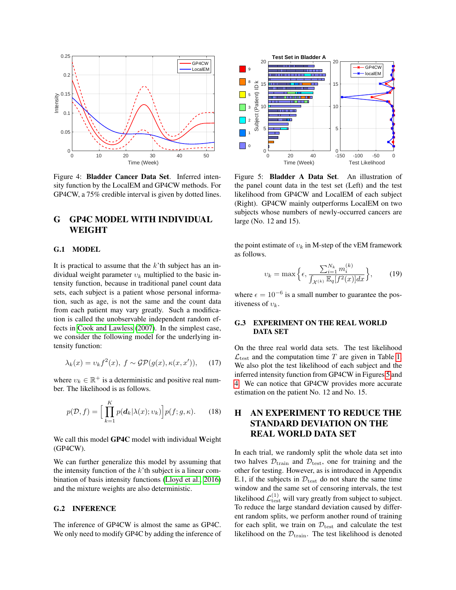<span id="page-3-1"></span>

Figure 4: Bladder Cancer Data Set. Inferred intensity function by the LocalEM and GP4CW methods. For GP4CW, a 75% credible interval is given by dotted lines.

# G GP4C MODEL WITH INDIVIDUAL WEIGHT

#### G.1 MODEL

It is practical to assume that the  $k$ 'th subject has an individual weight parameter  $v_k$  multiplied to the basic intensity function, because in traditional panel count data sets, each subject is a patient whose personal information, such as age, is not the same and the count data from each patient may vary greatly. Such a modification is called the unobservable independent random effects in [Cook and Lawless](#page-4-4) [\(2007\)](#page-4-4). In the simplest case, we consider the following model for the underlying intensity function:

$$
\lambda_k(x) = v_k f^2(x), \ f \sim \mathcal{GP}(g(x), \kappa(x, x')), \qquad (17)
$$

where  $v_k \in \mathbb{R}^+$  is a deterministic and positive real number. The likelihood is as follows.

$$
p(\mathcal{D}, f) = \Big[ \prod_{k=1}^{K} p(\boldsymbol{d}_k | \lambda(x); v_k) \Big] p(f; g, \kappa). \tag{18}
$$

We call this model GP4C model with individual Weight (GP4CW).

We can further generalize this model by assuming that the intensity function of the  $k$ 'th subject is a linear combination of basis intensity functions [\(Lloyd et al., 2016\)](#page-4-5) and the mixture weights are also deterministic.

### G.2 INFERENCE

The inference of GP4CW is almost the same as GP4C. We only need to modify GP4C by adding the inference of

<span id="page-3-0"></span>

Figure 5: Bladder A Data Set. An illustration of the panel count data in the test set (Left) and the test likelihood from GP4CW and LocalEM of each subject (Right). GP4CW mainly outperforms LocalEM on two subjects whose numbers of newly-occurred cancers are large (No. 12 and 15).

the point estimate of  $v_k$  in M-step of the vEM framework as follows.

$$
\upsilon_k = \max\left\{\epsilon, \frac{\sum_{i=1}^{N_k} m_i^{(k)}}{\int_{\mathcal{X}^{(k)}} \mathbb{E}_q[f^2(x)]dx}\right\},\qquad(19)
$$

where  $\epsilon = 10^{-6}$  is a small number to guarantee the positiveness of  $v_k$ .

### G.3 EXPERIMENT ON THE REAL WORLD DATA SET

On the three real world data sets. The test likelihood  $\mathcal{L}_{\text{test}}$  and the computation time T are given in Table [1.](#page-4-6) We also plot the test likelihood of each subject and the inferred intensity function from GP4CW in Figures [5](#page-3-0) and [4.](#page-3-1) We can notice that GP4CW provides more accurate estimation on the patient No. 12 and No. 15.

# H AN EXPERIMENT TO REDUCE THE STANDARD DEVIATION ON THE REAL WORLD DATA SET

In each trial, we randomly split the whole data set into two halves  $\mathcal{D}_{\text{train}}$  and  $\mathcal{D}_{\text{test}}$ , one for training and the other for testing. However, as is introduced in Appendix E.1, if the subjects in  $\mathcal{D}_{\text{test}}$  do not share the same time window and the same set of censoring intervals, the test likelihood  $\mathcal{L}_{\text{test}}^{(1)}$  will vary greatly from subject to subject. To reduce the large standard deviation caused by different random splits, we perform another round of training for each split, we train on  $\mathcal{D}_{\text{test}}$  and calculate the test likelihood on the  $\mathcal{D}_{\text{train}}$ . The test likelihood is denoted